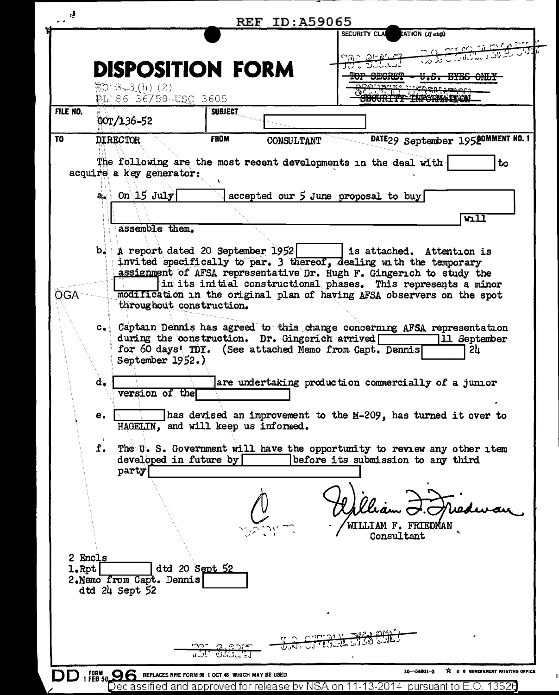| ŋ,           |                                                                    | <b>REF ID: A59065</b>                                                                                      |                                                                                                                                            |
|--------------|--------------------------------------------------------------------|------------------------------------------------------------------------------------------------------------|--------------------------------------------------------------------------------------------------------------------------------------------|
|              |                                                                    |                                                                                                            | SECURITY CLA CATION (If any)<br>وشق ورانتشان بن بين بين                                                                                    |
|              | <b>DISPOSITION FORM</b>                                            |                                                                                                            | <b>THE SERVER</b>                                                                                                                          |
|              |                                                                    |                                                                                                            | <del>U.S. BYB</del> E                                                                                                                      |
|              | $EO-3-3(h)$ (2)<br>$10.86 - 36750$ USC 3605                        |                                                                                                            | חה פקורי וזכומו במספ<br>Controlled of the port of the                                                                                      |
| FILE NO.     |                                                                    | <b>SUBJECT</b>                                                                                             |                                                                                                                                            |
|              | 00T/136-52                                                         |                                                                                                            |                                                                                                                                            |
| <b>TO</b>    | <b>DIRECTOR</b>                                                    | <b>FROM</b><br>CONSULTANT                                                                                  | DATE29 September 19520MMENT NO. 1                                                                                                          |
|              |                                                                    |                                                                                                            | The following are the most recent developments in the deal with<br>to                                                                      |
|              | acquire a key generator:                                           |                                                                                                            |                                                                                                                                            |
|              | a. On $15$ July                                                    |                                                                                                            | accepted our 5 June proposal to buy                                                                                                        |
|              |                                                                    |                                                                                                            |                                                                                                                                            |
|              | assemble them.                                                     |                                                                                                            | $\overline{\texttt{wall}}$                                                                                                                 |
|              |                                                                    |                                                                                                            |                                                                                                                                            |
|              |                                                                    | $b.$ A report dated 20 September 1952                                                                      | is attached. Attention is                                                                                                                  |
|              |                                                                    |                                                                                                            | invited specifically to par. 3 thereof, dealing with the temporary<br>assignment of AFSA representative Dr. Hugh F. Gingerich to study the |
|              |                                                                    |                                                                                                            | in its initial constructional phases. This represents a minor                                                                              |
| <b>OGA</b>   | throughout construction.                                           |                                                                                                            | modification in the original plan of having AFSA observers on the spot                                                                     |
|              |                                                                    |                                                                                                            |                                                                                                                                            |
|              |                                                                    |                                                                                                            | c. Captain Dennis has agreed to this change concerning AFSA representation                                                                 |
|              |                                                                    | during the construction. Dr. Gingerich arrived [<br>for 60 days' TDY. (See attached Memo from Capt. Dennis | 11 September<br>24                                                                                                                         |
|              | September 1952.)                                                   |                                                                                                            |                                                                                                                                            |
|              | d.                                                                 |                                                                                                            | are undertaking production commercially of a junior                                                                                        |
|              | version of the                                                     |                                                                                                            |                                                                                                                                            |
|              | е.                                                                 |                                                                                                            | has devised an improvement to the M-209, has turned it over to                                                                             |
|              |                                                                    | HAGELIN, and will keep us informed.                                                                        |                                                                                                                                            |
|              | f.                                                                 |                                                                                                            | The U.S. Government will have the opportunity to review any other item                                                                     |
|              | developed in future by                                             |                                                                                                            | before its submission to any third                                                                                                         |
|              | party                                                              |                                                                                                            |                                                                                                                                            |
|              |                                                                    |                                                                                                            |                                                                                                                                            |
|              |                                                                    |                                                                                                            |                                                                                                                                            |
|              |                                                                    |                                                                                                            | WILLIAM F. FRIEDMAN                                                                                                                        |
|              |                                                                    |                                                                                                            | Consultant                                                                                                                                 |
| 2 Encls      |                                                                    |                                                                                                            |                                                                                                                                            |
| $1.$ Rpt $ $ |                                                                    | dtd 20 Sept 52                                                                                             |                                                                                                                                            |
|              | 2. Memo from Capt. Dennis<br>dtd 24 Sept 52                        |                                                                                                            |                                                                                                                                            |
|              |                                                                    |                                                                                                            |                                                                                                                                            |
|              |                                                                    |                                                                                                            |                                                                                                                                            |
|              |                                                                    |                                                                                                            |                                                                                                                                            |
|              |                                                                    | ے باری ان کا مخ <u>ت</u>                                                                                   |                                                                                                                                            |
|              |                                                                    | UI OSSE                                                                                                    |                                                                                                                                            |
|              | 1 FEB 50 <b>96</b> REPLACES NME FORM 96 1 OCT 48 WHICH MAY BE USED |                                                                                                            | 16-54801-3<br><b>S</b> COVERNMENT PRINTING OFFICE                                                                                          |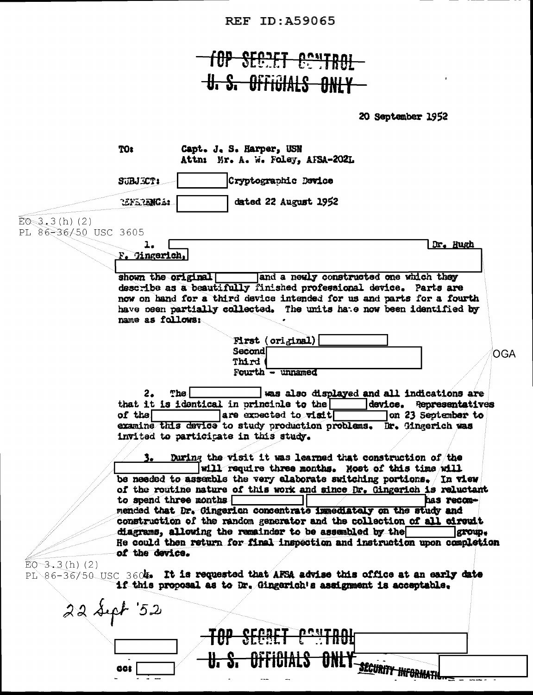**REF ID: A59065** 

## for SECRET CONTROL **U. S. OFFIGIALS ONLY**

20 September 1952

TOI Capt. J. S. Harper, USN Attn: Mr. A. W. Foley, AFSA-202L Cryptographic Device SUBJECT: dated 22 August 1952 CENERANCE:  $E_0 = 3.3(h) (2)$ PL 86-36/50 USC 3605  $\mathbf{1}_{\bullet}$ Dr. Hugh F. Hngerich, and a newly constructed one which they shown the original describe as a beautifully finished professional device. Parts are now on hand for a third device intended for us and parts for a fourth have been partially collected. The units hate now been identified by name as follows: First (original) Second OGA Third Fourth - unnamed  $2.$  $The <sub>l</sub>$ was also displayed and all indications are that it is identical in principle to the  $\Box$ device. Representatives of the  $\Box$  $\blacksquare$  are expected to visit  $\Box$ on 23 September to examine this device to study production problems. Br. Gingerich was invited to participate in this study. During the visit it was learned that construction of the will require three months. Most of this time will be needed to assemble the very elaborate switching portions. (In view of the routine nature of this work and since Dr. Gingerich is reluctant to spend three months [ has recommended that Dr. Gingerich concentrate immediately on the study and construction of the random generator and the collection of all circuit diagrams, allowing the remainder to be assembled by the group. He could then return for final inspection and instruction upon completion of the device.  $EO-3.3(h)$  (2) PI 86-36/50 USC 3604. It is requested that AFSA advise this office at an early date if this proposal as to Dr. Gingerich's assignment is acceptable.  $22$  sept  $52$ <u>CECAET DONTDOL</u> <del>Officials</del> **SECURITY INFORMATI** 86t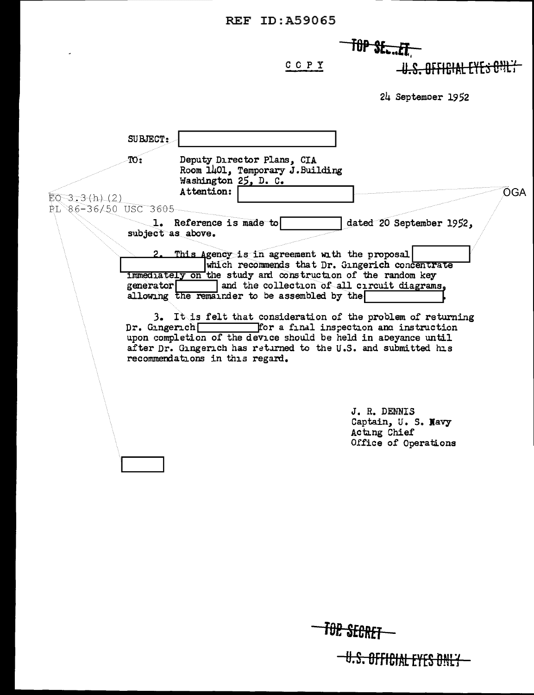$\mathbb{Z}^2$ 

 $-$ *TOP SE...ET* 

 $C$   $C$   $P$   $Y$ 

-U.S. OFFICIAL EYES ONLY

 $24$  September 1952

|                                           | <b>SUBJECT:</b>                                                                                                                                                                                                                                                                                                                                 |     |
|-------------------------------------------|-------------------------------------------------------------------------------------------------------------------------------------------------------------------------------------------------------------------------------------------------------------------------------------------------------------------------------------------------|-----|
| $EO$ 3.3(h) $(2)$<br>RL 86-36/50 USC 3605 | Deputy Director Plans, CIA<br>$\overline{\text{TO}}$ :<br>Room 1401, Temporary J. Building<br>Washington 25, D. C.<br>Attention:                                                                                                                                                                                                                | OGA |
|                                           | dated 20 September 1952,<br>1. Reference is made to<br>subject as above.<br>2. This Agency is in agreement with the proposal<br>which recommends that Dr. Gingerich concentrate<br>immediately on the study and construction of the random key<br>and the collection of all circuit diagrams,<br>generator                                      |     |
|                                           | allowing the remainder to be assembled by the<br>3. It is felt that consideration of the problem of returning<br>for a final inspection and instruction<br>Dr. Gingerich<br>upon completion of the device should be held in abeyance until<br>after Dr. Gingerich has returned to the U.S. and submitted his<br>recommendations in this regard. |     |
|                                           | J. R. DENNIS<br>Captain, U. S. Navy<br>Acting Chief<br>Office of Operations                                                                                                                                                                                                                                                                     |     |
|                                           |                                                                                                                                                                                                                                                                                                                                                 |     |

**TOP SECRET** 

-U.S. OFFICIAL EYES ONLY-